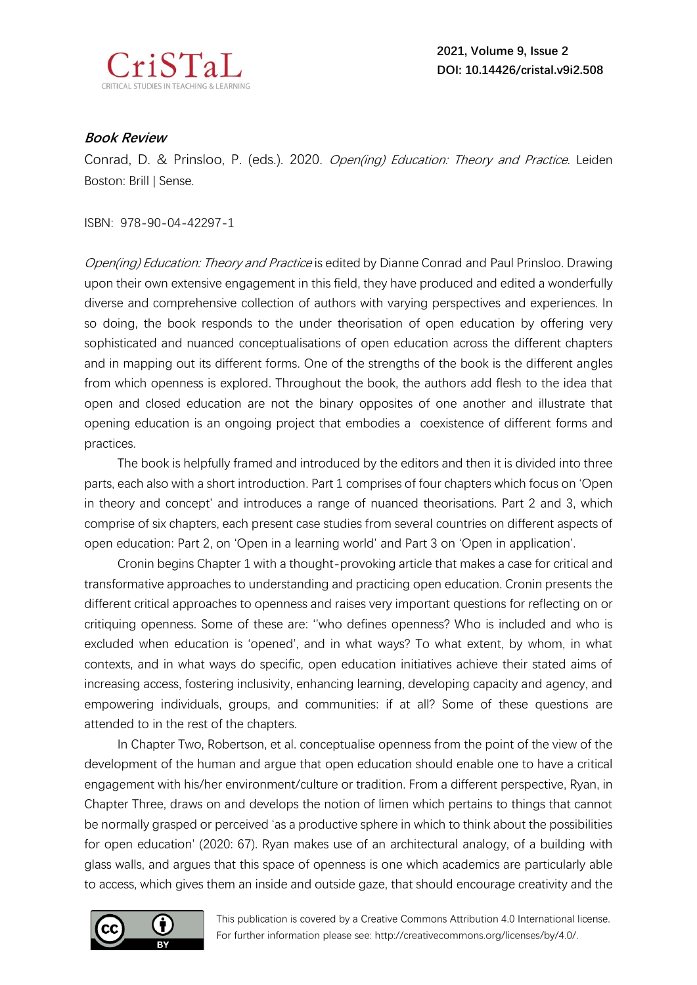

## **Book Review**

Conrad, D. & Prinsloo, P. (eds.). 2020. Open(ing) Education: Theory and Practice. Leiden Boston: Brill | Sense.

ISBN: 978-90-04-42297-1

Open(ing) Education: Theory and Practice is edited by Dianne Conrad and Paul Prinsloo. Drawing upon their own extensive engagement in this field, they have produced and edited a wonderfully diverse and comprehensive collection of authors with varying perspectives and experiences. In so doing, the book responds to the under theorisation of open education by offering very sophisticated and nuanced conceptualisations of open education across the different chapters and in mapping out its different forms. One of the strengths of the book is the different angles from which openness is explored. Throughout the book, the authors add flesh to the idea that open and closed education are not the binary opposites of one another and illustrate that opening education is an ongoing project that embodies a coexistence of different forms and practices.

The book is helpfully framed and introduced by the editors and then it is divided into three parts, each also with a short introduction. Part 1 comprises of four chapters which focus on 'Open in theory and concept' and introduces a range of nuanced theorisations. Part 2 and 3, which comprise of six chapters, each present case studies from several countries on different aspects of open education: Part 2, on 'Open in a learning world' and Part 3 on 'Open in application'.

Cronin begins Chapter 1 with a thought-provoking article that makes a case for critical and transformative approaches to understanding and practicing open education. Cronin presents the different critical approaches to openness and raises very important questions for reflecting on or critiquing openness. Some of these are: ''who defines openness? Who is included and who is excluded when education is 'opened', and in what ways? To what extent, by whom, in what contexts, and in what ways do specific, open education initiatives achieve their stated aims of increasing access, fostering inclusivity, enhancing learning, developing capacity and agency, and empowering individuals, groups, and communities: if at all? Some of these questions are attended to in the rest of the chapters.

In Chapter Two, Robertson, et al. conceptualise openness from the point of the view of the development of the human and argue that open education should enable one to have a critical engagement with his/her environment/culture or tradition. From a different perspective, Ryan, in Chapter Three, draws on and develops the notion of limen which pertains to things that cannot be normally grasped or perceived 'as a productive sphere in which to think about the possibilities for open education' (2020: 67). Ryan makes use of an architectural analogy, of a building with glass walls, and argues that this space of openness is one which academics are particularly able to access, which gives them an inside and outside gaze, that should encourage creativity and the



This publication is covered by a Creative Commons Attribution 4.0 International license. For further information please see: http://creativecommons.org/licenses/by/4.0/.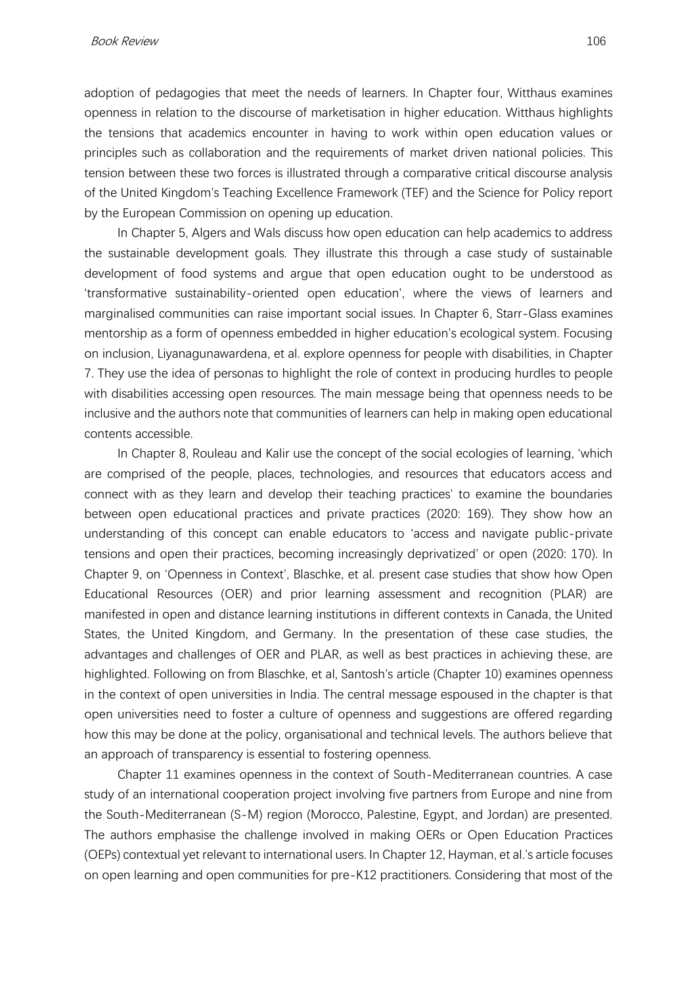adoption of pedagogies that meet the needs of learners. In Chapter four, Witthaus examines openness in relation to the discourse of marketisation in higher education. Witthaus highlights the tensions that academics encounter in having to work within open education values or principles such as collaboration and the requirements of market driven national policies. This tension between these two forces is illustrated through a comparative critical discourse analysis of the United Kingdom's Teaching Excellence Framework (TEF) and the Science for Policy report by the European Commission on opening up education.

In Chapter 5, Algers and Wals discuss how open education can help academics to address the sustainable development goals. They illustrate this through a case study of sustainable development of food systems and argue that open education ought to be understood as 'transformative sustainability-oriented open education', where the views of learners and marginalised communities can raise important social issues. In Chapter 6, Starr-Glass examines mentorship as a form of openness embedded in higher education's ecological system. Focusing on inclusion, Liyanagunawardena, et al. explore openness for people with disabilities, in Chapter 7. They use the idea of personas to highlight the role of context in producing hurdles to people with disabilities accessing open resources. The main message being that openness needs to be inclusive and the authors note that communities of learners can help in making open educational contents accessible.

In Chapter 8, Rouleau and Kalir use the concept of the social ecologies of learning, 'which are comprised of the people, places, technologies, and resources that educators access and connect with as they learn and develop their teaching practices' to examine the boundaries between open educational practices and private practices (2020: 169). They show how an understanding of this concept can enable educators to 'access and navigate public-private tensions and open their practices, becoming increasingly deprivatized' or open (2020: 170). In Chapter 9, on 'Openness in Context', Blaschke, et al. present case studies that show how Open Educational Resources (OER) and prior learning assessment and recognition (PLAR) are manifested in open and distance learning institutions in different contexts in Canada, the United States, the United Kingdom, and Germany. In the presentation of these case studies, the advantages and challenges of OER and PLAR, as well as best practices in achieving these, are highlighted. Following on from Blaschke, et al, Santosh's article (Chapter 10) examines openness in the context of open universities in India. The central message espoused in the chapter is that open universities need to foster a culture of openness and suggestions are offered regarding how this may be done at the policy, organisational and technical levels. The authors believe that an approach of transparency is essential to fostering openness.

Chapter 11 examines openness in the context of South-Mediterranean countries. A case study of an international cooperation project involving five partners from Europe and nine from the South-Mediterranean (S-M) region (Morocco, Palestine, Egypt, and Jordan) are presented. The authors emphasise the challenge involved in making OERs or Open Education Practices (OEPs) contextual yet relevant to international users. In Chapter 12, Hayman, et al.'s article focuses on open learning and open communities for pre-K12 practitioners. Considering that most of the